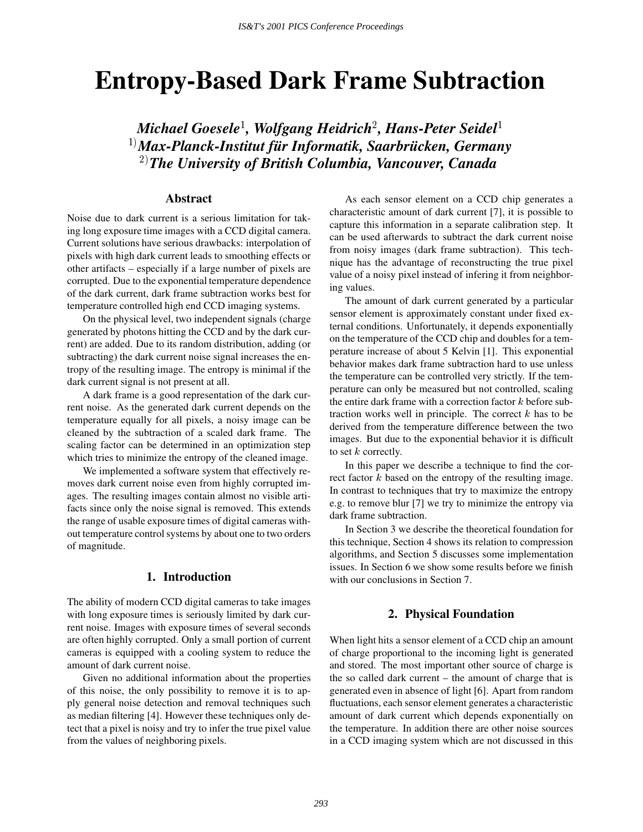# **Entropy-Based Dark Frame Subtraction**

*Michael Goesele*<sup>1</sup> *, Wolfgang Heidrich*<sup>2</sup> *, Hans-Peter Seidel*<sup>1</sup> <sup>1)</sup>Max-Planck-Institut für Informatik, Saarbrücken, Germany 2)*The University of British Columbia, Vancouver, Canada*

## **Abstract**

Noise due to dark current is a serious limitation for taking long exposure time images with a CCD digital camera. Current solutions have serious drawbacks: interpolation of pixels with high dark current leads to smoothing effects or other artifacts – especially if a large number of pixels are corrupted. Due to the exponential temperature dependence of the dark current, dark frame subtraction works best for temperature controlled high end CCD imaging systems.

On the physical level, two independent signals (charge generated by photons hitting the CCD and by the dark current) are added. Due to its random distribution, adding (or subtracting) the dark current noise signal increases the entropy of the resulting image. The entropy is minimal if the dark current signal is not present at all.

A dark frame is a good representation of the dark current noise. As the generated dark current depends on the temperature equally for all pixels, a noisy image can be cleaned by the subtraction of a scaled dark frame. The scaling factor can be determined in an optimization step which tries to minimize the entropy of the cleaned image.

We implemented a software system that effectively removes dark current noise even from highly corrupted images. The resulting images contain almost no visible artifacts since only the noise signal is removed. This extends the range of usable exposure times of digital cameras without temperature control systems by about one to two orders of magnitude.

# **1. Introduction**

The ability of modern CCD digital cameras to take images with long exposure times is seriously limited by dark current noise. Images with exposure times of several seconds are often highly corrupted. Only a small portion of current cameras is equipped with a cooling system to reduce the amount of dark current noise.

Given no additional information about the properties of this noise, the only possibility to remove it is to apply general noise detection and removal techniques such as median filtering [4]. However these techniques only detect that a pixel is noisy and try to infer the true pixel value from the values of neighboring pixels.

As each sensor element on a CCD chip generates a characteristic amount of dark current [7], it is possible to capture this information in a separate calibration step. It can be used afterwards to subtract the dark current noise from noisy images (dark frame subtraction). This technique has the advantage of reconstructing the true pixel value of a noisy pixel instead of infering it from neighboring values.

The amount of dark current generated by a particular sensor element is approximately constant under fixed external conditions. Unfortunately, it depends exponentially on the temperature of the CCD chip and doubles for a temperature increase of about 5 Kelvin [1]. This exponential behavior makes dark frame subtraction hard to use unless the temperature can be controlled very strictly. If the temperature can only be measured but not controlled, scaling the entire dark frame with a correction factor <sup>k</sup> before subtraction works well in principle. The correct  $k$  has to be derived from the temperature difference between the two images. But due to the exponential behavior it is difficult to set  $k$  correctly.

In this paper we describe a technique to find the correct factor  $k$  based on the entropy of the resulting image. In contrast to techniques that try to maximize the entropy e.g. to remove blur [7] we try to minimize the entropy via dark frame subtraction.

In Section 3 we describe the theoretical foundation for this technique, Section 4 shows its relation to compression algorithms, and Section 5 discusses some implementation issues. In Section 6 we show some results before we finish with our conclusions in Section 7.

# **2. Physical Foundation**

When light hits a sensor element of a CCD chip an amount of charge proportional to the incoming light is generated and stored. The most important other source of charge is the so called dark current – the amount of charge that is generated even in absence of light [6]. Apart from random fluctuations, each sensor element generates a characteristic amount of dark current which depends exponentially on the temperature. In addition there are other noise sources in a CCD imaging system which are not discussed in this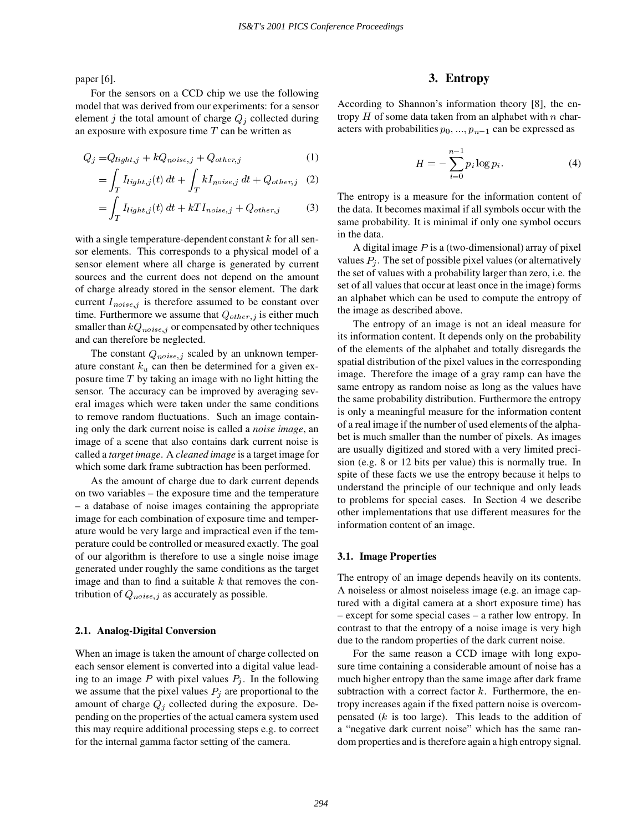paper [6].

z za zapisani konzulstva u predstavanje predstavanje predstavanje predstavanje predstavanje predstavanje preds

For the sensors on a CCD chip we use the following model that was derived from our experiments: for a sensor element j the total amount of charge  $Q_j$  collected during an exposure with exposure time  $T$  can be written as

$$
Q_j = Q_{light,j} + kQ_{noise,j} + Q_{other,j}
$$
 (1)

$$
= \int_{T} I_{light,j}(t) dt + \int_{T} k I_{noise,j} dt + Q_{other,j} (2)
$$

$$
= \int_{T} I_{light,j}(t) dt + kT I_{noise,j} + Q_{other,j}
$$
 (3)

with a single temperature-dependent constant  $k$  for all sensor elements. This corresponds to a physical model of a sensor element where all charge is generated by current sources and the current does not depend on the amount of charge already stored in the sensor element. The dark current  $I_{noise,j}$  is therefore assumed to be constant over time. Furthermore we assume that  $Q_{other, j}$  is either much smaller than  $kQ_{noise,j}$  or compensated by other techniques and can therefore be neglected.

The constant  $Q_{noise,j}$  scaled by an unknown temperature constant  $k_u$  can then be determined for a given exposure time  $T$  by taking an image with no light hitting the sensor. The accuracy can be improved by averaging several images which were taken under the same conditions to remove random fluctuations. Such an image containing only the dark current noise is called a *noise image*, an image of a scene that also contains dark current noise is called a *target image*. A *cleaned image* is a target image for which some dark frame subtraction has been performed.

As the amount of charge due to dark current depends on two variables – the exposure time and the temperature – a database of noise images containing the appropriate image for each combination of exposure time and temperature would be very large and impractical even if the temperature could be controlled or measured exactly. The goal of our algorithm is therefore to use a single noise image generated under roughly the same conditions as the target image and than to find a suitable  $k$  that removes the contribution of  $Q_{noise,j}$  as accurately as possible.

#### **2.1. Analog-Digital Conversion**

When an image is taken the amount of charge collected on each sensor element is converted into a digital value leading to an image P with pixel values  $P_j$ . In the following we assume that the pixel values  $P_j$  are proportional to the amount of charge  $Q_j$  collected during the exposure. Depending on the properties of the actual camera system used this may require additional processing steps e.g. to correct for the internal gamma factor setting of the camera.

# **3. Entropy**

According to Shannon's information theory [8], the entropy  $H$  of some data taken from an alphabet with  $n$  characters with probabilities  $p_0, \ldots, p_{n-1}$  can be expressed as

$$
H = -\sum_{i=0}^{n-1} p_i \log p_i.
$$
 (4)

The entropy is a measure for the information content of the data. It becomes maximal if all symbols occur with the same probability. It is minimal if only one symbol occurs in the data.

A digital image  $P$  is a (two-dimensional) array of pixel values  $P_i$ . The set of possible pixel values (or alternatively the set of values with a probability larger than zero, i.e. the set of all values that occur at least once in the image) forms an alphabet which can be used to compute the entropy of the image as described above.

The entropy of an image is not an ideal measure for its information content. It depends only on the probability of the elements of the alphabet and totally disregards the spatial distribution of the pixel values in the corresponding image. Therefore the image of a gray ramp can have the same entropy as random noise as long as the values have the same probability distribution. Furthermore the entropy is only a meaningful measure for the information content of a real image if the number of used elements of the alphabet is much smaller than the number of pixels. As images are usually digitized and stored with a very limited precision (e.g. 8 or 12 bits per value) this is normally true. In spite of these facts we use the entropy because it helps to understand the principle of our technique and only leads to problems for special cases. In Section 4 we describe other implementations that use different measures for the information content of an image.

#### **3.1. Image Properties**

The entropy of an image depends heavily on its contents. A noiseless or almost noiseless image (e.g. an image captured with a digital camera at a short exposure time) has – except for some special cases – a rather low entropy. In contrast to that the entropy of a noise image is very high due to the random properties of the dark current noise.

For the same reason a CCD image with long exposure time containing a considerable amount of noise has a much higher entropy than the same image after dark frame subtraction with a correct factor  $k$ . Furthermore, the entropy increases again if the fixed pattern noise is overcompensated  $(k$  is too large). This leads to the addition of a "negative dark current noise" which has the same random properties and is therefore again a high entropy signal.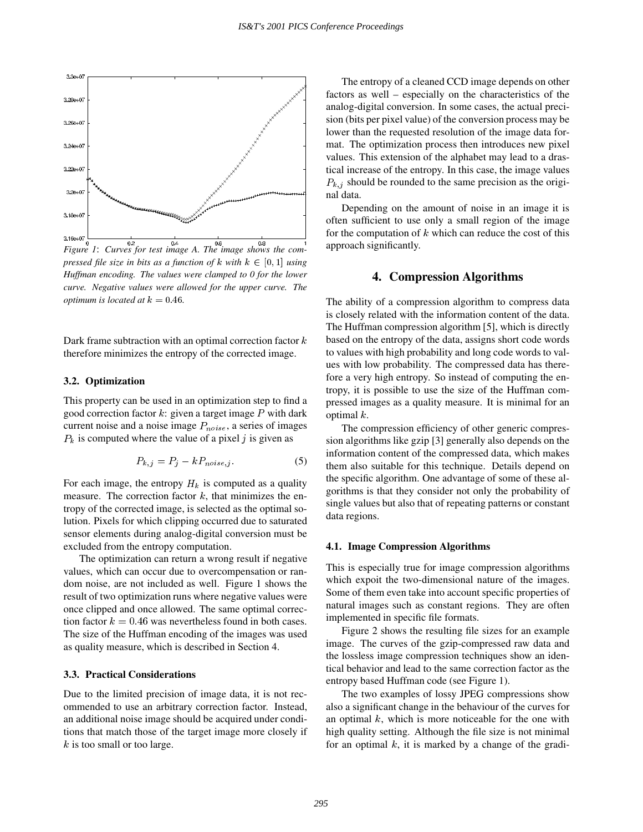

*pressed file size in bits as a function of*  $k$  *with*  $k \in [0, 1]$  *using Huffman encoding. The values were clamped to 0 for the lower curve. Negative values were allowed for the upper curve. The optimum is located at*  $k = 0.46$ *.* 

Dark frame subtraction with an optimal correction factor  $k$ therefore minimizes the entropy of the corrected image.

#### **3.2. Optimization**

This property can be used in an optimization step to find a good correction factor  $k$ : given a target image  $P$  with dark current noise and a noise image  $P_{noise}$ , a series of images  $P_k$  is computed where the value of a pixel j is given as

$$
P_{k,j} = P_j - k P_{noise,j}.
$$
 (5)

For each image, the entropy  $H_k$  is computed as a quality measure. The correction factor  $k$ , that minimizes the entropy of the corrected image, is selected as the optimal solution. Pixels for which clipping occurred due to saturated sensor elements during analog-digital conversion must be excluded from the entropy computation.

The optimization can return a wrong result if negative values, which can occur due to overcompensation or random noise, are not included as well. Figure 1 shows the result of two optimization runs where negative values were once clipped and once allowed. The same optimal correction factor  $k = 0.46$  was nevertheless found in both cases. The size of the Huffman encoding of the images was used as quality measure, which is described in Section 4.

#### **3.3. Practical Considerations**

Due to the limited precision of image data, it is not recommended to use an arbitrary correction factor. Instead, an additional noise image should be acquired under conditions that match those of the target image more closely if  $k$  is too small or too large.

The entropy of a cleaned CCD image depends on other factors as well – especially on the characteristics of the analog-digital conversion. In some cases, the actual precision (bits per pixel value) of the conversion process may be lower than the requested resolution of the image data format. The optimization process then introduces new pixel values. This extension of the alphabet may lead to a drastical increase of the entropy. In this case, the image values  $P_{k,j}$  should be rounded to the same precision as the original data.

Depending on the amount of noise in an image it is often sufficient to use only a small region of the image for the computation of  $k$  which can reduce the cost of this approach significantly.

## **4. Compression Algorithms**

The ability of a compression algorithm to compress data is closely related with the information content of the data. The Huffman compression algorithm [5], which is directly based on the entropy of the data, assigns short code words to values with high probability and long code words to values with low probability. The compressed data has therefore a very high entropy. So instead of computing the entropy, it is possible to use the size of the Huffman compressed images as a quality measure. It is minimal for an optimal  $k$ .

The compression efficiency of other generic compression algorithms like gzip [3] generally also depends on the information content of the compressed data, which makes them also suitable for this technique. Details depend on the specific algorithm. One advantage of some of these algorithms is that they consider not only the probability of single values but also that of repeating patterns or constant data regions.

#### **4.1. Image Compression Algorithms**

This is especially true for image compression algorithms which expoit the two-dimensional nature of the images. Some of them even take into account specific properties of natural images such as constant regions. They are often implemented in specific file formats.

Figure 2 shows the resulting file sizes for an example image. The curves of the gzip-compressed raw data and the lossless image compression techniques show an identical behavior and lead to the same correction factor as the entropy based Huffman code (see Figure 1).

The two examples of lossy JPEG compressions show also a significant change in the behaviour of the curves for an optimal  $k$ , which is more noticeable for the one with high quality setting. Although the file size is not minimal for an optimal  $k$ , it is marked by a change of the gradi-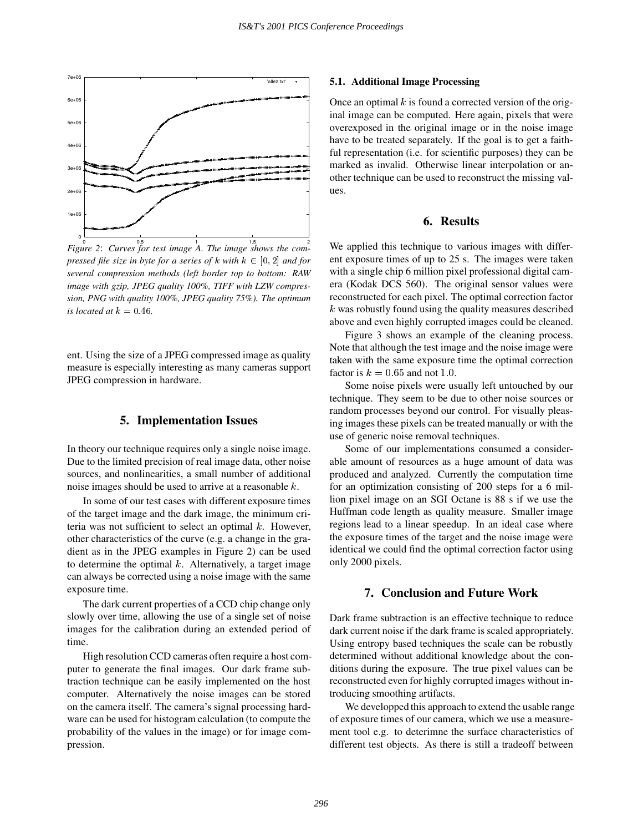

0 0.5 1 1.5 2 *Figure 2*: *Curves for test image A. The image shows the compressed file size in byte for a series of*  $k$  *with*  $k \in [0, 2]$  *and for several compression methods (left border top to bottom: RAW image with gzip, JPEG quality 100%, TIFF with LZW compression, PNG with quality 100%, JPEG quality 75%). The optimum is located at*  $k = 0.46$ .

ent. Using the size of a JPEG compressed image as quality measure is especially interesting as many cameras support JPEG compression in hardware.

# **5. Implementation Issues**

In theory our technique requires only a single noise image. Due to the limited precision of real image data, other noise sources, and nonlinearities, a small number of additional noise images should be used to arrive at a reasonable <sup>k</sup>.

In some of our test cases with different exposure times of the target image and the dark image, the minimum criteria was not sufficient to select an optimal  $k$ . However, other characteristics of the curve (e.g. a change in the gradient as in the JPEG examples in Figure 2) can be used to determine the optimal  $k$ . Alternatively, a target image can always be corrected using a noise image with the same exposure time.

The dark current properties of a CCD chip change only slowly over time, allowing the use of a single set of noise images for the calibration during an extended period of time.

High resolution CCD cameras often require a host computer to generate the final images. Our dark frame subtraction technique can be easily implemented on the host computer. Alternatively the noise images can be stored on the camera itself. The camera's signal processing hardware can be used for histogram calculation (to compute the probability of the values in the image) or for image compression.

#### **5.1. Additional Image Processing**

Once an optimal  $k$  is found a corrected version of the original image can be computed. Here again, pixels that were overexposed in the original image or in the noise image have to be treated separately. If the goal is to get a faithful representation (i.e. for scientific purposes) they can be marked as invalid. Otherwise linear interpolation or another technique can be used to reconstruct the missing values.

## **6. Results**

We applied this technique to various images with different exposure times of up to 25 s. The images were taken with a single chip 6 million pixel professional digital camera (Kodak DCS 560). The original sensor values were reconstructed for each pixel. The optimal correction factor <sup>k</sup> was robustly found using the quality measures described above and even highly corrupted images could be cleaned.

Figure 3 shows an example of the cleaning process. Note that although the test image and the noise image were taken with the same exposure time the optimal correction factor is  $k = 0.65$  and not 1.0.

Some noise pixels were usually left untouched by our technique. They seem to be due to other noise sources or random processes beyond our control. For visually pleasing images these pixels can be treated manually or with the use of generic noise removal techniques.

Some of our implementations consumed a considerable amount of resources as a huge amount of data was produced and analyzed. Currently the computation time for an optimization consisting of 200 steps for a 6 million pixel image on an SGI Octane is 88 s if we use the Huffman code length as quality measure. Smaller image regions lead to a linear speedup. In an ideal case where the exposure times of the target and the noise image were identical we could find the optimal correction factor using only 2000 pixels.

## **7. Conclusion and Future Work**

Dark frame subtraction is an effective technique to reduce dark current noise if the dark frame is scaled appropriately. Using entropy based techniques the scale can be robustly determined without additional knowledge about the conditions during the exposure. The true pixel values can be reconstructed even for highly corrupted images without introducing smoothing artifacts.

We developped this approach to extend the usable range of exposure times of our camera, which we use a measurement tool e.g. to deterimne the surface characteristics of different test objects. As there is still a tradeoff between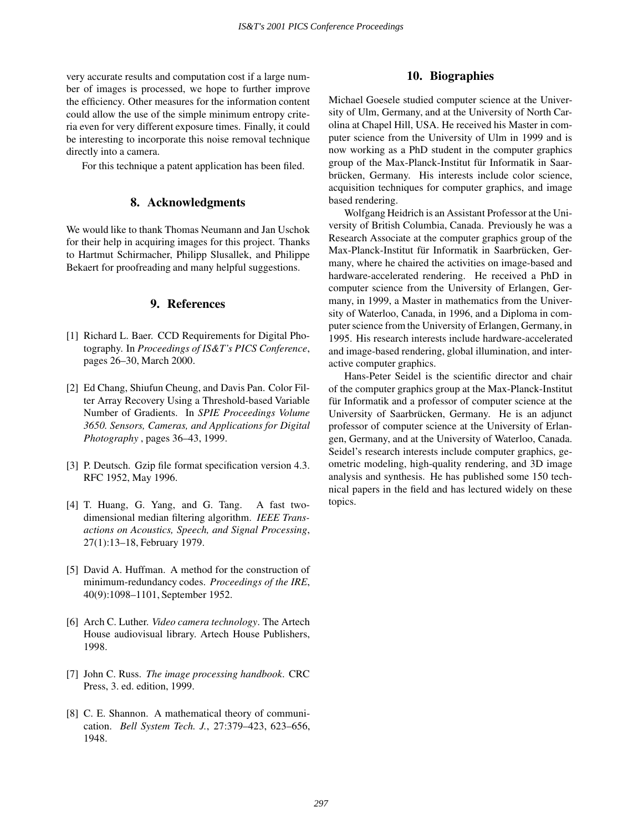very accurate results and computation cost if a large number of images is processed, we hope to further improve the efficiency. Other measures for the information content could allow the use of the simple minimum entropy criteria even for very different exposure times. Finally, it could be interesting to incorporate this noise removal technique directly into a camera.

For this technique a patent application has been filed.

## **8. Acknowledgments**

We would like to thank Thomas Neumann and Jan Uschok for their help in acquiring images for this project. Thanks to Hartmut Schirmacher, Philipp Slusallek, and Philippe Bekaert for proofreading and many helpful suggestions.

## **9. References**

- [1] Richard L. Baer. CCD Requirements for Digital Photography. In *Proceedings of IS&T's PICS Conference*, pages 26–30, March 2000.
- [2] Ed Chang, Shiufun Cheung, and Davis Pan. Color Filter Array Recovery Using a Threshold-based Variable Number of Gradients. In *SPIE Proceedings Volume 3650. Sensors, Cameras, and Applications for Digital Photography* , pages 36–43, 1999.
- [3] P. Deutsch. Gzip file format specification version 4.3. RFC 1952, May 1996.
- [4] T. Huang, G. Yang, and G. Tang. A fast twodimensional median filtering algorithm. *IEEE Transactions on Acoustics, Speech, and Signal Processing*, 27(1):13–18, February 1979.
- [5] David A. Huffman. A method for the construction of minimum-redundancy codes. *Proceedings of the IRE*, 40(9):1098–1101, September 1952.
- [6] Arch C. Luther. *Video camera technology*. The Artech House audiovisual library. Artech House Publishers, 1998.
- [7] John C. Russ. *The image processing handbook*. CRC Press, 3. ed. edition, 1999.
- [8] C. E. Shannon. A mathematical theory of communication. *Bell System Tech. J.*, 27:379–423, 623–656, 1948.

# **10. Biographies**

Michael Goesele studied computer science at the University of Ulm, Germany, and at the University of North Carolina at Chapel Hill, USA. He received his Master in computer science from the University of Ulm in 1999 and is now working as a PhD student in the computer graphics group of the Max-Planck-Institut für Informatik in Saarbrücken, Germany. His interests include color science, acquisition techniques for computer graphics, and image based rendering.

Wolfgang Heidrich is an Assistant Professor at the University of British Columbia, Canada. Previously he was a Research Associate at the computer graphics group of the Max-Planck-Institut für Informatik in Saarbrücken, Germany, where he chaired the activities on image-based and hardware-accelerated rendering. He received a PhD in computer science from the University of Erlangen, Germany, in 1999, a Master in mathematics from the University of Waterloo, Canada, in 1996, and a Diploma in computer science from the University of Erlangen, Germany, in 1995. His research interests include hardware-accelerated and image-based rendering, global illumination, and interactive computer graphics.

Hans-Peter Seidel is the scientific director and chair of the computer graphics group at the Max-Planck-Institut für Informatik and a professor of computer science at the University of Saarbrücken, Germany. He is an adjunct professor of computer science at the University of Erlangen, Germany, and at the University of Waterloo, Canada. Seidel's research interests include computer graphics, geometric modeling, high-quality rendering, and 3D image analysis and synthesis. He has published some 150 technical papers in the field and has lectured widely on these topics.